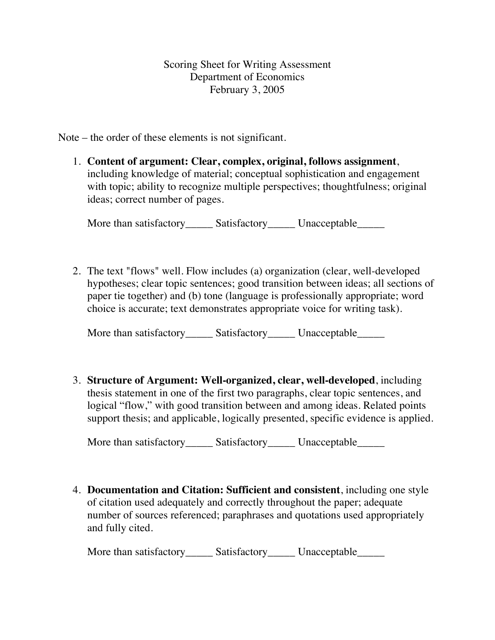Scoring Sheet for Writing Assessment Department of Economics February 3, 2005

Note – the order of these elements is not significant.

1. **Content of argument: Clear, complex, original, follows assignment**, including knowledge of material; conceptual sophistication and engagement with topic; ability to recognize multiple perspectives; thoughtfulness; original ideas; correct number of pages.

More than satisfactory\_\_\_\_\_\_ Satisfactory\_\_\_\_\_\_ Unacceptable\_\_\_\_\_\_

2. The text "flows" well. Flow includes (a) organization (clear, well-developed hypotheses; clear topic sentences; good transition between ideas; all sections of paper tie together) and (b) tone (language is professionally appropriate; word choice is accurate; text demonstrates appropriate voice for writing task).

More than satisfactory\_\_\_\_\_\_ Satisfactory\_\_\_\_\_\_ Unacceptable\_\_\_\_\_\_

3. **Structure of Argument: Well-organized, clear, well-developed**, including thesis statement in one of the first two paragraphs, clear topic sentences, and logical "flow," with good transition between and among ideas. Related points support thesis; and applicable, logically presented, specific evidence is applied.

More than satisfactory Satisfactory Unacceptable

4. **Documentation and Citation: Sufficient and consistent**, including one style of citation used adequately and correctly throughout the paper; adequate number of sources referenced; paraphrases and quotations used appropriately and fully cited.

More than satisfactory\_\_\_\_\_\_ Satisfactory\_\_\_\_\_\_ Unacceptable\_\_\_\_\_\_